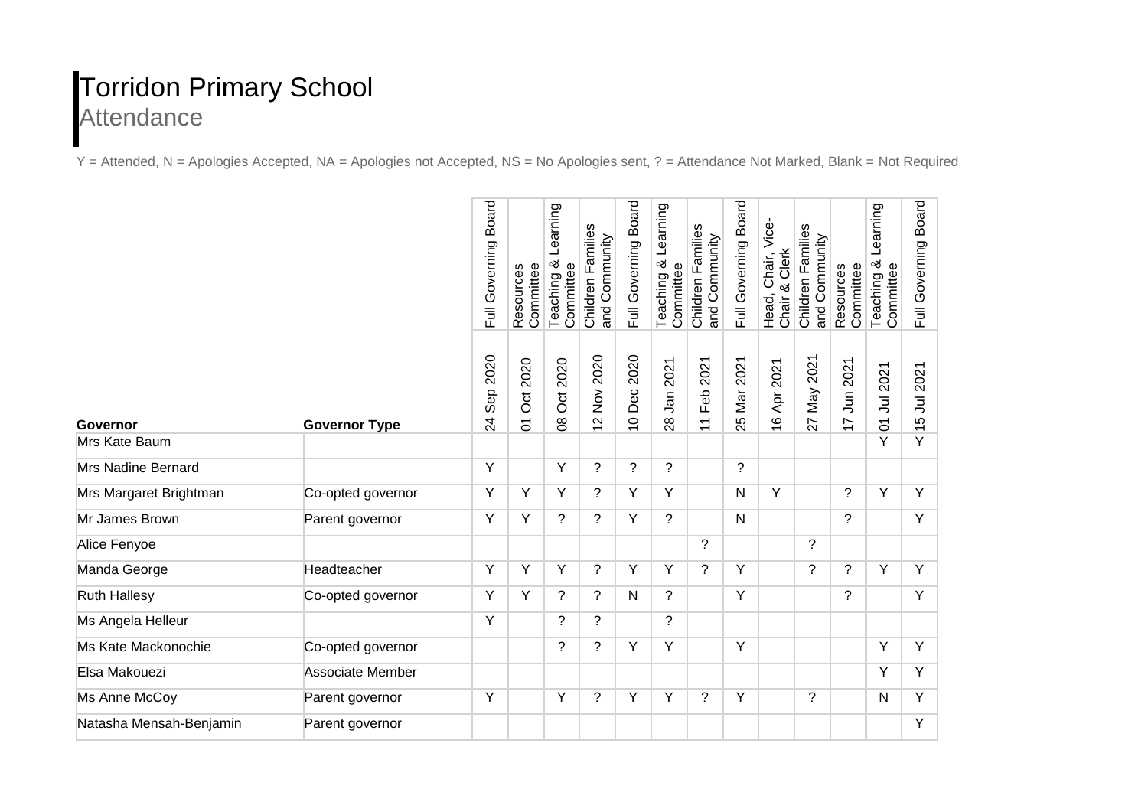## Torridon Primary School **Attendance**

Y = Attended, N = Apologies Accepted, NA = Apologies not Accepted, NS = No Apologies sent, ? = Attendance Not Marked, Blank = Not Required

|                         |                      | <b>Board</b><br>Full Governing | Resources<br>Committee      | Learning<br>Teaching &<br>Committee | Children Families<br>and Community     | Full Governing Board       | Learning<br>Teaching &<br>Committee | Children Families<br>and Community | <b>Board</b><br>Full Governing | Head, Chair, Vice-<br>Chair & Clerk | Children Families<br>and Community | Resources<br>Committee      | Learning<br>Teaching &<br>Committee | <b>Board</b><br>Full Governing |
|-------------------------|----------------------|--------------------------------|-----------------------------|-------------------------------------|----------------------------------------|----------------------------|-------------------------------------|------------------------------------|--------------------------------|-------------------------------------|------------------------------------|-----------------------------|-------------------------------------|--------------------------------|
| Governor                | <b>Governor Type</b> | Sep 2020<br>$\overline{24}$    | 2020<br>Ö<br>$\overline{5}$ | <b>Oct 2020</b><br>$\infty$         | 2020<br>$\frac{8}{2}$<br>$\frac{1}{2}$ | Dec 2020<br>$\overline{C}$ | 2021<br>28 Jan 2                    | 2021<br>Feb:<br>$\overline{1}$     | Mar 2021<br>25                 | Apr 2021<br>$\frac{6}{1}$           | 2021<br>Nay<br>$\overline{27}$     | 2021<br>5<br>$\overline{1}$ | 01 Jul 2021                         | Jul 2021<br>$\frac{1}{5}$      |
| Mrs Kate Baum           |                      |                                |                             |                                     |                                        |                            |                                     |                                    |                                |                                     |                                    |                             | Y                                   | Y                              |
| Mrs Nadine Bernard      |                      | Y                              |                             | Y                                   | ?                                      | $\overline{?}$             | ?                                   |                                    | ?                              |                                     |                                    |                             |                                     |                                |
| Mrs Margaret Brightman  | Co-opted governor    | Y                              | Y                           | Y                                   | $\tilde{?}$                            | Y                          | Y                                   |                                    | $\mathsf{N}$                   | Y                                   |                                    | ?                           | Y                                   | Y                              |
| Mr James Brown          | Parent governor      | Y                              | Y                           | $\overline{?}$                      | $\gamma$                               | Y                          | ?                                   |                                    | N                              |                                     |                                    | ?                           |                                     | Y                              |
| Alice Fenyoe            |                      |                                |                             |                                     |                                        |                            |                                     | $\tilde{?}$                        |                                |                                     | $\overline{?}$                     |                             |                                     |                                |
| Manda George            | Headteacher          | Y                              | Y                           | Y                                   | ?                                      | Y                          | Y                                   | $\gamma$                           | Y                              |                                     | $\tilde{?}$                        | ?                           | Y                                   | Y                              |
| <b>Ruth Hallesy</b>     | Co-opted governor    | Υ                              | Y                           | ?                                   | $\tilde{?}$                            | $\mathsf{N}$               | ?                                   |                                    | Y                              |                                     |                                    | $\overline{?}$              |                                     | Y                              |
| Ms Angela Helleur       |                      | Y                              |                             | ?                                   | ?                                      |                            | ?                                   |                                    |                                |                                     |                                    |                             |                                     |                                |
| Ms Kate Mackonochie     | Co-opted governor    |                                |                             | ?                                   | $\tilde{?}$                            | Υ                          | Υ                                   |                                    | Y                              |                                     |                                    |                             | Υ                                   | Y                              |
| Elsa Makouezi           | Associate Member     |                                |                             |                                     |                                        |                            |                                     |                                    |                                |                                     |                                    |                             | Y                                   | Y                              |
| Ms Anne McCoy           | Parent governor      | Y                              |                             | Y                                   | ?                                      | Y                          | Y                                   | ?                                  | Y                              |                                     | $\tilde{?}$                        |                             | N                                   | Y                              |
| Natasha Mensah-Benjamin | Parent governor      |                                |                             |                                     |                                        |                            |                                     |                                    |                                |                                     |                                    |                             |                                     | Y                              |